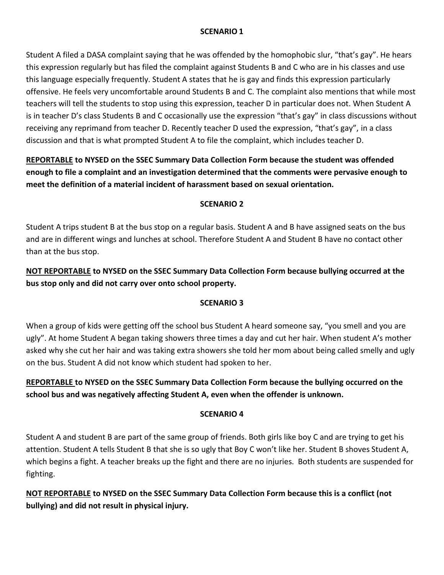### **SCENARIO 1**

Student A filed a DASA complaint saying that he was offended by the homophobic slur, "that's gay". He hears this expression regularly but has filed the complaint against Students B and C who are in his classes and use this language especially frequently. Student A states that he is gay and finds this expression particularly offensive. He feels very uncomfortable around Students B and C. The complaint also mentions that while most teachers will tell the students to stop using this expression, teacher D in particular does not. When Student A is in teacher D's class Students B and C occasionally use the expression "that's gay" in class discussions without receiving any reprimand from teacher D. Recently teacher D used the expression, "that's gay", in a class discussion and that is what prompted Student A to file the complaint, which includes teacher D.

**REPORTABLE to NYSED on the SSEC Summary Data Collection Form because the student was offended enough to file a complaint and an investigation determined that the comments were pervasive enough to meet the definition of a material incident of harassment based on sexual orientation.**

### **SCENARIO 2**

Student A trips student B at the bus stop on a regular basis. Student A and B have assigned seats on the bus and are in different wings and lunches at school. Therefore Student A and Student B have no contact other than at the bus stop.

**NOT REPORTABLE to NYSED on the SSEC Summary Data Collection Form because bullying occurred at the bus stop only and did not carry over onto school property.**

## **SCENARIO 3**

When a group of kids were getting off the school bus Student A heard someone say, "you smell and you are ugly". At home Student A began taking showers three times a day and cut her hair. When student A's mother asked why she cut her hair and was taking extra showers she told her mom about being called smelly and ugly on the bus. Student A did not know which student had spoken to her.

# **REPORTABLE to NYSED on the SSEC Summary Data Collection Form because the bullying occurred on the school bus and was negatively affecting Student A, even when the offender is unknown.**

## **SCENARIO 4**

Student A and student B are part of the same group of friends. Both girls like boy C and are trying to get his attention. Student A tells Student B that she is so ugly that Boy C won't like her. Student B shoves Student A, which begins a fight. A teacher breaks up the fight and there are no injuries. Both students are suspended for fighting.

**NOT REPORTABLE to NYSED on the SSEC Summary Data Collection Form because this is a conflict (not bullying) and did not result in physical injury.**